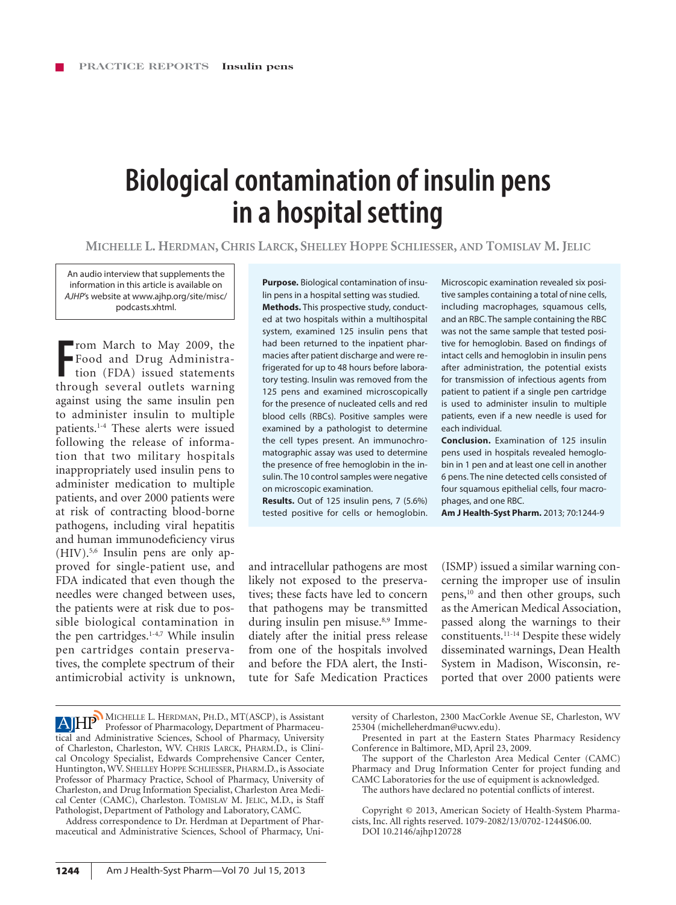# **Biological contamination of insulin pens in a hospital setting**

**Michelle L. Herdman, Chris Larck, Shelley Hoppe Schliesser, and Tomislav M. Jelic**

An audio interview that supplements the information in this article is available on *AJHP*'s website at [www.ajhp.org/site/misc/](http://www.ajhp.org/site/misc/podcasts.xhtml) [podcasts.xhtml.](http://www.ajhp.org/site/misc/podcasts.xhtml)

**From March to May 2009, the Food and Drug Administration (FDA) issued statements through several outlets warning** rom March to May 2009, the Food and Drug Administration (FDA) issued statements against using the same insulin pen to administer insulin to multiple patients.1-4 These alerts were issued following the release of information that two military hospitals inappropriately used insulin pens to administer medication to multiple patients, and over 2000 patients were at risk of contracting blood-borne pathogens, including viral hepatitis and human immunodeficiency virus (HIV).5,6 Insulin pens are only approved for single-patient use, and FDA indicated that even though the needles were changed between uses, the patients were at risk due to possible biological contamination in the pen cartridges. $1-4,7$  While insulin pen cartridges contain preservatives, the complete spectrum of their antimicrobial activity is unknown,

**Purpose.** Biological contamination of insulin pens in a hospital setting was studied. **Methods.** This prospective study, conducted at two hospitals within a multihospital system, examined 125 insulin pens that had been returned to the inpatient pharmacies after patient discharge and were refrigerated for up to 48 hours before laboratory testing. Insulin was removed from the 125 pens and examined microscopically for the presence of nucleated cells and red blood cells (RBCs). Positive samples were examined by a pathologist to determine the cell types present. An immunochromatographic assay was used to determine the presence of free hemoglobin in the insulin. The 10 control samples were negative on microscopic examination.

**Results.** Out of 125 insulin pens, 7 (5.6%) tested positive for cells or hemoglobin. Microscopic examination revealed six positive samples containing a total of nine cells, including macrophages, squamous cells, and an RBC. The sample containing the RBC was not the same sample that tested positive for hemoglobin. Based on findings of intact cells and hemoglobin in insulin pens after administration, the potential exists for transmission of infectious agents from patient to patient if a single pen cartridge is used to administer insulin to multiple patients, even if a new needle is used for each individual.

**Conclusion.** Examination of 125 insulin pens used in hospitals revealed hemoglobin in 1 pen and at least one cell in another 6 pens. The nine detected cells consisted of four squamous epithelial cells, four macrophages, and one RBC.

**Am J Health-Syst Pharm.** 2013; 70:1244-9

and intracellular pathogens are most likely not exposed to the preservatives; these facts have led to concern that pathogens may be transmitted during insulin pen misuse.<sup>8,9</sup> Immediately after the initial press release from one of the hospitals involved and before the FDA alert, the Institute for Safe Medication Practices

(ISMP) issued a similar warning concerning the improper use of insulin pens,10 and then other groups, such as the American Medical Association, passed along the warnings to their constituents.11-14 Despite these widely disseminated warnings, Dean Health System in Madison, Wisconsin, reported that over 2000 patients were

Michelle L. Herdman, Ph.D., MT(ASCP), is Assistant Professor of Pharmacology, Department of Pharmaceu[tical and Adm](http://www.ajhp.org/site/misc/podcasts.xhtml)inistrative Sciences, School of Pharmacy, University of Charleston, Charleston, WV. Chris Larck, Pharm.D., is Clinical Oncology Specialist, Edwards Comprehensive Cancer Center, Huntington, WV. Shelley Hoppe Schliesser, Pharm.D., is Associate Professor of Pharmacy Practice, School of Pharmacy, University of Charleston, and Drug Information Specialist, Charleston Area Medical Center (CAMC), Charleston. TOMISLAV M. JELIC, M.D., is Staff Pathologist, Department of Pathology and Laboratory, CAMC.

Address correspondence to Dr. Herdman at Department of Pharmaceutical and Administrative Sciences, School of Pharmacy, University of Charleston, 2300 MacCorkle Avenue SE, Charleston, WV 25304 (michelleherdman@ucwv.edu).

The authors have declared no potential conflicts of interest.

Copyright © 2013, American Society of Health-System Pharmacists, Inc. All rights reserved. 1079-2082/13/0702-1244\$06.00. DOI 10.2146/ajhp120728

Presented in part at the Eastern States Pharmacy Residency Conference in Baltimore, MD, April 23, 2009.

The support of the Charleston Area Medical Center (CAMC) Pharmacy and Drug Information Center for project funding and CAMC Laboratories for the use of equipment is acknowledged.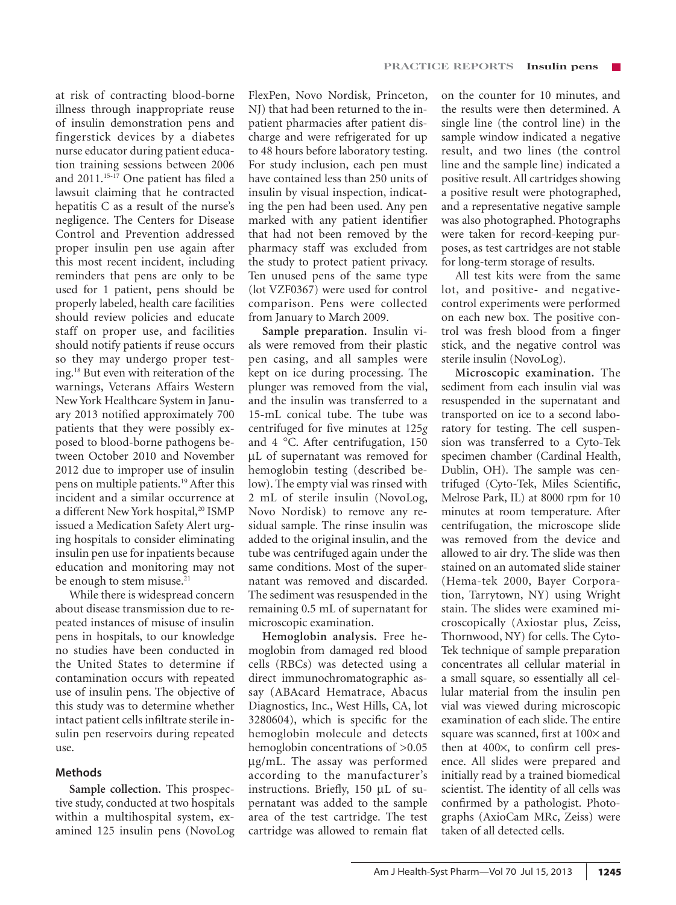at risk of contracting blood-borne illness through inappropriate reuse of insulin demonstration pens and fingerstick devices by a diabetes nurse educator during patient education training sessions between 2006 and 2011.<sup>15-17</sup> One patient has filed a lawsuit claiming that he contracted hepatitis C as a result of the nurse's negligence. The Centers for Disease Control and Prevention addressed proper insulin pen use again after this most recent incident, including reminders that pens are only to be used for 1 patient, pens should be properly labeled, health care facilities should review policies and educate staff on proper use, and facilities should notify patients if reuse occurs so they may undergo proper testing.18 But even with reiteration of the warnings, Veterans Affairs Western New York Healthcare System in January 2013 notified approximately 700 patients that they were possibly exposed to blood-borne pathogens between October 2010 and November 2012 due to improper use of insulin pens on multiple patients.<sup>19</sup> After this incident and a similar occurrence at a different New York hospital,<sup>20</sup> ISMP issued a Medication Safety Alert urging hospitals to consider eliminating insulin pen use for inpatients because education and monitoring may not be enough to stem misuse.<sup>21</sup>

While there is widespread concern about disease transmission due to repeated instances of misuse of insulin pens in hospitals, to our knowledge no studies have been conducted in the United States to determine if contamination occurs with repeated use of insulin pens. The objective of this study was to determine whether intact patient cells infiltrate sterile insulin pen reservoirs during repeated use.

### **Methods**

**Sample collection.** This prospective study, conducted at two hospitals within a multihospital system, examined 125 insulin pens (NovoLog FlexPen, Novo Nordisk, Princeton, NJ) that had been returned to the inpatient pharmacies after patient discharge and were refrigerated for up to 48 hours before laboratory testing. For study inclusion, each pen must have contained less than 250 units of insulin by visual inspection, indicating the pen had been used. Any pen marked with any patient identifier that had not been removed by the pharmacy staff was excluded from the study to protect patient privacy. Ten unused pens of the same type (lot VZF0367) were used for control comparison. Pens were collected from January to March 2009.

**Sample preparation.** Insulin vials were removed from their plastic pen casing, and all samples were kept on ice during processing. The plunger was removed from the vial, and the insulin was transferred to a 15-mL conical tube. The tube was centrifuged for five minutes at 125*g* and 4 °C. After centrifugation, 150 mL of supernatant was removed for hemoglobin testing (described below). The empty vial was rinsed with 2 mL of sterile insulin (NovoLog, Novo Nordisk) to remove any residual sample. The rinse insulin was added to the original insulin, and the tube was centrifuged again under the same conditions. Most of the supernatant was removed and discarded. The sediment was resuspended in the remaining 0.5 mL of supernatant for microscopic examination.

**Hemoglobin analysis.** Free hemoglobin from damaged red blood cells (RBCs) was detected using a direct immunochromatographic assay (ABAcard Hematrace, Abacus Diagnostics, Inc., West Hills, CA, lot 3280604), which is specific for the hemoglobin molecule and detects hemoglobin concentrations of  $>0.05$ mg/mL. The assay was performed according to the manufacturer's instructions. Briefly,  $150 \mu L$  of supernatant was added to the sample area of the test cartridge. The test cartridge was allowed to remain flat

on the counter for 10 minutes, and the results were then determined. A single line (the control line) in the sample window indicated a negative result, and two lines (the control line and the sample line) indicated a positive result. All cartridges showing a positive result were photographed, and a representative negative sample was also photographed. Photographs were taken for record-keeping purposes, as test cartridges are not stable for long-term storage of results.

a ka

All test kits were from the same lot, and positive- and negativecontrol experiments were performed on each new box. The positive control was fresh blood from a finger stick, and the negative control was sterile insulin (NovoLog).

**Microscopic examination.** The sediment from each insulin vial was resuspended in the supernatant and transported on ice to a second laboratory for testing. The cell suspension was transferred to a Cyto-Tek specimen chamber (Cardinal Health, Dublin, OH). The sample was centrifuged (Cyto-Tek, Miles Scientific, Melrose Park, IL) at 8000 rpm for 10 minutes at room temperature. After centrifugation, the microscope slide was removed from the device and allowed to air dry. The slide was then stained on an automated slide stainer (Hema-tek 2000, Bayer Corporation, Tarrytown, NY) using Wright stain. The slides were examined microscopically (Axiostar plus, Zeiss, Thornwood, NY) for cells. The Cyto-Tek technique of sample preparation concentrates all cellular material in a small square, so essentially all cellular material from the insulin pen vial was viewed during microscopic examination of each slide. The entire square was scanned, first at 100 $\times$  and then at 400×, to confirm cell presence. All slides were prepared and initially read by a trained biomedical scientist. The identity of all cells was confirmed by a pathologist. Photographs (AxioCam MRc, Zeiss) were taken of all detected cells.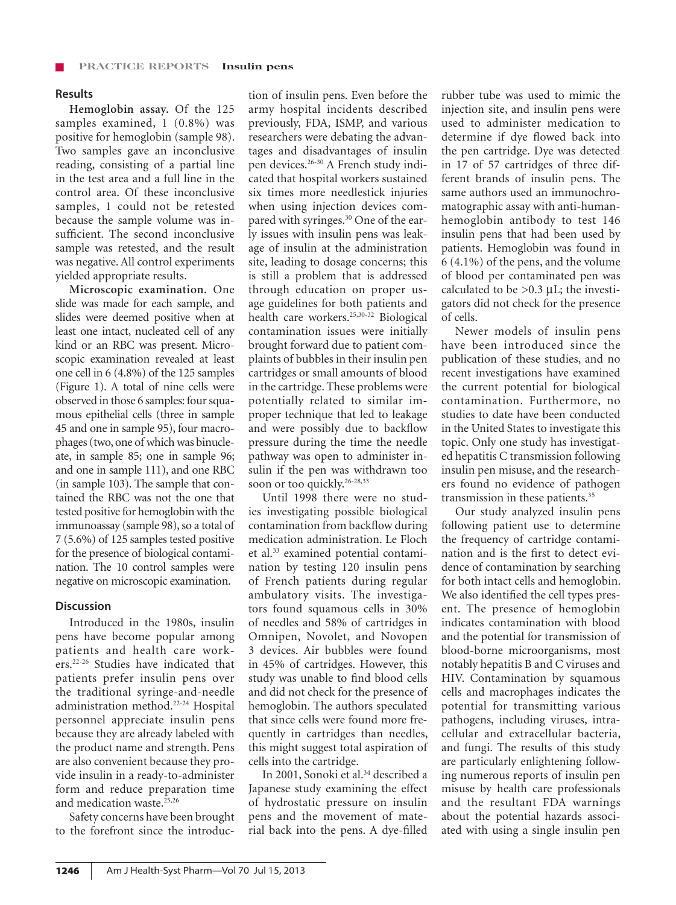#### **Results**

**Hemoglobin assay.** Of the 125 samples examined, 1 (0.8%) was positive for hemoglobin (sample 98). Two samples gave an inconclusive reading, consisting of a partial line in the test area and a full line in the control area. Of these inconclusive samples, 1 could not be retested because the sample volume was insufficient. The second inconclusive sample was retested, and the result was negative. All control experiments yielded appropriate results.

**Microscopic examination.** One slide was made for each sample, and slides were deemed positive when at least one intact, nucleated cell of any kind or an RBC was present. Microscopic examination revealed at least one cell in 6 (4.8%) of the 125 samples (Figure 1). A total of nine cells were observed in those 6 samples: four squamous epithelial cells (three in sample 45 and one in sample 95), four macrophages (two, one of which was binucleate, in sample 85; one in sample 96; and one in sample 111), and one RBC (in sample 103). The sample that contained the RBC was not the one that tested positive for hemoglobin with the immunoassay (sample 98), so a total of 7 (5.6%) of 125 samples tested positive for the presence of biological contamination. The 10 control samples were negative on microscopic examination.

#### **Discussion**

Introduced in the 1980s, insulin pens have become popular among patients and health care workers.22-26 Studies have indicated that patients prefer insulin pens over the traditional syringe-and-needle administration method.22-24 Hospital personnel appreciate insulin pens because they are already labeled with the product name and strength. Pens are also convenient because they provide insulin in a ready-to-administer form and reduce preparation time and medication waste.<sup>25,26</sup>

Safety concerns have been brought to the forefront since the introduc-

tion of insulin pens. Even before the army hospital incidents described previously, FDA, ISMP, and various researchers were debating the advantages and disadvantages of insulin pen devices.26-30 A French study indicated that hospital workers sustained six times more needlestick injuries when using injection devices compared with syringes.<sup>30</sup> One of the early issues with insulin pens was leakage of insulin at the administration site, leading to dosage concerns; this is still a problem that is addressed through education on proper usage guidelines for both patients and health care workers.25,30-32 Biological contamination issues were initially brought forward due to patient complaints of bubbles in their insulin pen cartridges or small amounts of blood in the cartridge. These problems were potentially related to similar improper technique that led to leakage and were possibly due to backflow pressure during the time the needle pathway was open to administer insulin if the pen was withdrawn too soon or too quickly.<sup>26-28,33</sup>

Until 1998 there were no studies investigating possible biological contamination from backflow during medication administration. Le Floch et al.33 examined potential contamination by testing 120 insulin pens of French patients during regular ambulatory visits. The investigators found squamous cells in 30% of needles and 58% of cartridges in Omnipen, Novolet, and Novopen 3 devices. Air bubbles were found in 45% of cartridges. However, this study was unable to find blood cells and did not check for the presence of hemoglobin. The authors speculated that since cells were found more frequently in cartridges than needles, this might suggest total aspiration of cells into the cartridge.

In 2001, Sonoki et al.34 described a Japanese study examining the effect of hydrostatic pressure on insulin pens and the movement of material back into the pens. A dye-filled rubber tube was used to mimic the injection site, and insulin pens were used to administer medication to determine if dye flowed back into the pen cartridge. Dye was detected in 17 of 57 cartridges of three different brands of insulin pens. The same authors used an immunochromatographic assay with anti-humanhemoglobin antibody to test 146 insulin pens that had been used by patients. Hemoglobin was found in 6 (4.1%) of the pens, and the volume of blood per contaminated pen was calculated to be  $>0.3$  µL; the investigators did not check for the presence of cells.

Newer models of insulin pens have been introduced since the publication of these studies, and no recent investigations have examined the current potential for biological contamination. Furthermore, no studies to date have been conducted in the United States to investigate this topic. Only one study has investigated hepatitis C transmission following insulin pen misuse, and the researchers found no evidence of pathogen transmission in these patients.35

Our study analyzed insulin pens following patient use to determine the frequency of cartridge contamination and is the first to detect evidence of contamination by searching for both intact cells and hemoglobin. We also identified the cell types present. The presence of hemoglobin indicates contamination with blood and the potential for transmission of blood-borne microorganisms, most notably hepatitis B and C viruses and HIV. Contamination by squamous cells and macrophages indicates the potential for transmitting various pathogens, including viruses, intracellular and extracellular bacteria, and fungi. The results of this study are particularly enlightening following numerous reports of insulin pen misuse by health care professionals and the resultant FDA warnings about the potential hazards associated with using a single insulin pen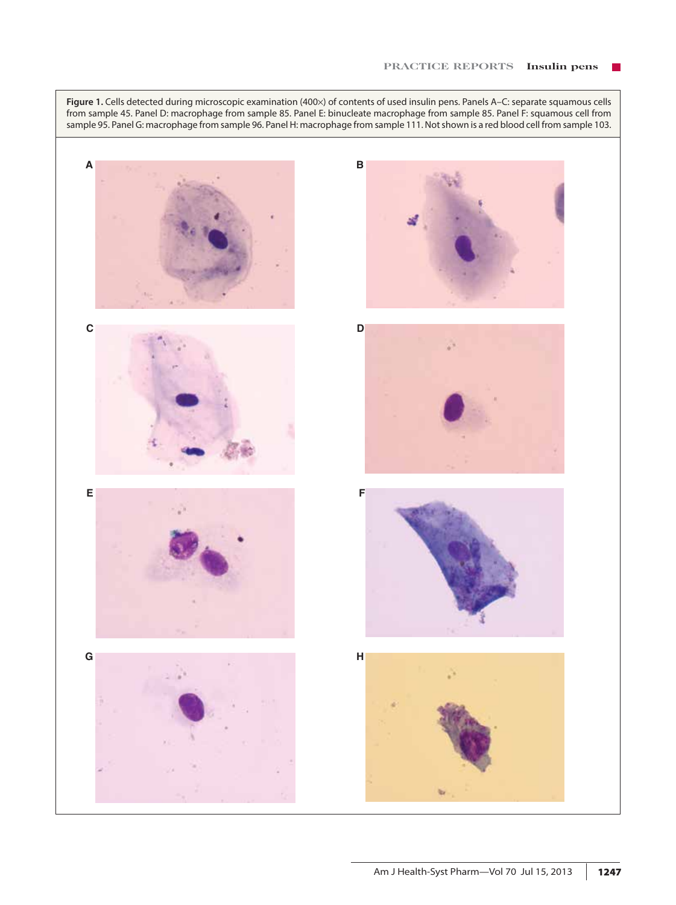n.

Figure 1. Cells detected during microscopic examination (400×) of contents of used insulin pens. Panels A–C: separate squamous cells from sample 45. Panel D: macrophage from sample 85. Panel E: binucleate macrophage from sample 85. Panel F: squamous cell from sample 95. Panel G: macrophage from sample 96. Panel H: macrophage from sample 111. Not shown is a red blood cell from sample 103.

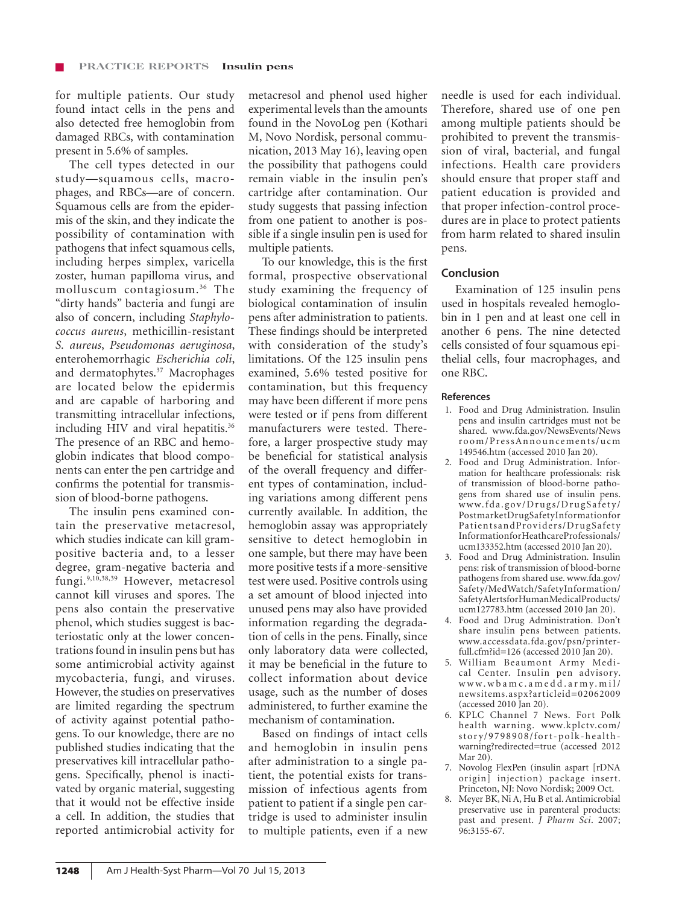for multiple patients. Our study found intact cells in the pens and also detected free hemoglobin from damaged RBCs, with contamination present in 5.6% of samples.

The cell types detected in our study—squamous cells, macrophages, and RBCs—are of concern. Squamous cells are from the epidermis of the skin, and they indicate the possibility of contamination with pathogens that infect squamous cells, including herpes simplex, varicella zoster, human papilloma virus, and molluscum contagiosum.36 The "dirty hands" bacteria and fungi are also of concern, including *Staphylococcus aureus*, methicillin-resistant *S. aureus*, *Pseudomonas aeruginosa*, enterohemorrhagic *Escherichia coli*, and dermatophytes.37 Macrophages are located below the epidermis and are capable of harboring and transmitting intracellular infections, including HIV and viral hepatitis.<sup>36</sup> The presence of an RBC and hemoglobin indicates that blood components can enter the pen cartridge and confirms the potential for transmission of blood-borne pathogens.

The insulin pens examined contain the preservative metacresol, which studies indicate can kill grampositive bacteria and, to a lesser degree, gram-negative bacteria and fungi.9,10,38,39 However, metacresol cannot kill viruses and spores. The pens also contain the preservative phenol, which studies suggest is bacteriostatic only at the lower concentrations found in insulin pens but has some antimicrobial activity against mycobacteria, fungi, and viruses. However, the studies on preservatives are limited regarding the spectrum of activity against potential pathogens. To our knowledge, there are no published studies indicating that the preservatives kill intracellular pathogens. Specifically, phenol is inactivated by organic material, suggesting that it would not be effective inside a cell. In addition, the studies that reported antimicrobial activity for

metacresol and phenol used higher experimental levels than the amounts found in the NovoLog pen (Kothari M, Novo Nordisk, personal communication, 2013 May 16), leaving open the possibility that pathogens could remain viable in the insulin pen's cartridge after contamination. Our study suggests that passing infection from one patient to another is possible if a single insulin pen is used for multiple patients.

To our knowledge, this is the first formal, prospective observational study examining the frequency of biological contamination of insulin pens after administration to patients. These findings should be interpreted with consideration of the study's limitations. Of the 125 insulin pens examined, 5.6% tested positive for contamination, but this frequency may have been different if more pens were tested or if pens from different manufacturers were tested. Therefore, a larger prospective study may be beneficial for statistical analysis of the overall frequency and different types of contamination, including variations among different pens currently available. In addition, the hemoglobin assay was appropriately sensitive to detect hemoglobin in one sample, but there may have been more positive tests if a more-sensitive test were used. Positive controls using a set amount of blood injected into unused pens may also have provided information regarding the degradation of cells in the pens. Finally, since only laboratory data were collected, it may be beneficial in the future to collect information about device usage, such as the number of doses administered, to further examine the mechanism of contamination.

Based on findings of intact cells and hemoglobin in insulin pens after administration to a single patient, the potential exists for transmission of infectious agents from patient to patient if a single pen cartridge is used to administer insulin to multiple patients, even if a new needle is used for each individual. Therefore, shared use of one pen among multiple patients should be prohibited to prevent the transmission of viral, bacterial, and fungal infections. Health care providers should ensure that proper staff and patient education is provided and that proper infection-control procedures are in place to protect patients from harm related to shared insulin pens.

## **Conclusion**

Examination of 125 insulin pens used in hospitals revealed hemoglobin in 1 pen and at least one cell in another 6 pens. The nine detected cells consisted of four squamous epithelial cells, four macrophages, and one RBC.

#### **References**

- 1. Food and Drug Administration. Insulin pens and insulin cartridges must not be shared*.* www.fda.gov/NewsEvents/News room/PressAnnouncements/ucm 149546.htm (accessed 2010 Jan 20).
- 2. Food and Drug Administration. Information for healthcare professionals: risk of transmission of blood-borne pathogens from shared use of insulin pens. www.fda.gov/Drugs/DrugSafety/ PostmarketDrugSafetyInformationfor PatientsandProviders/DrugSafety InformationforHeathcareProfessionals/ ucm133352.htm (accessed 2010 Jan 20).
- 3. Food and Drug Administration. Insulin pens: risk of transmission of blood-borne pathogens from shared use. www.fda.gov/ Safety/MedWatch/SafetyInformation/ SafetyAlertsforHumanMedicalProducts/ ucm127783.htm (accessed 2010 Jan 20).
- 4. Food and Drug Administration. Don't share insulin pens between patients. www.accessdata.fda.gov/psn/printerfull.cfm?id=126 (accessed  $2010$  Jan 20).
- 5. William Beaumont Army Medical Center. Insulin pen advisory. www.wbamc.amedd.army.mil/ newsitems.aspx?articleid=02062009 (accessed 2010 Jan 20).
- 6. KPLC Channel 7 News. Fort Polk health warning. www.kplctv.com/ story/9798908/fort-polk-healthwarning?redirected=true (accessed 2012 Mar 20).
- 7. Novolog FlexPen (insulin aspart [rDNA origin] injection) package insert. Princeton, NJ: Novo Nordisk; 2009 Oct.
- 8. Meyer BK, Ni A, Hu B et al. Antimicrobial preservative use in parenteral products: past and present. *J Pharm Sci*. 2007; 96:3155-67.